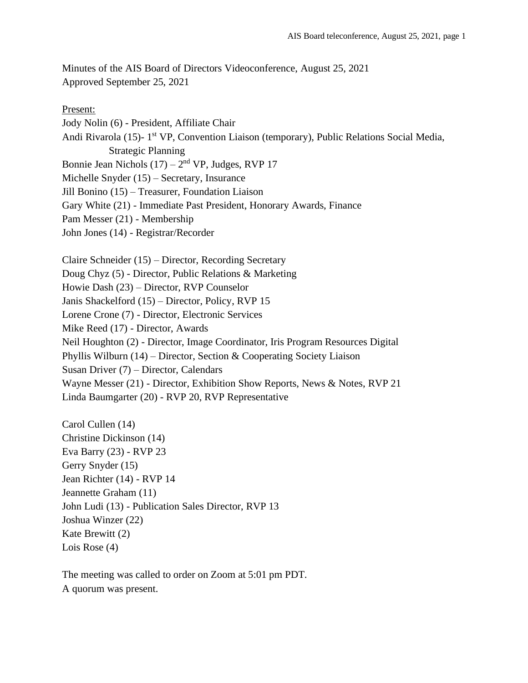Minutes of the AIS Board of Directors Videoconference, August 25, 2021 Approved September 25, 2021

Present: Jody Nolin (6) - President, Affiliate Chair Andi Rivarola (15)- 1<sup>st</sup> VP, Convention Liaison (temporary), Public Relations Social Media, Strategic Planning Bonnie Jean Nichols  $(17) - 2<sup>nd</sup> VP$ , Judges, RVP 17 Michelle Snyder (15) – Secretary, Insurance Jill Bonino (15) – Treasurer, Foundation Liaison Gary White (21) - Immediate Past President, Honorary Awards, Finance Pam Messer (21) - Membership John Jones (14) - Registrar/Recorder Claire Schneider (15) – Director, Recording Secretary Doug Chyz (5) - Director, Public Relations & Marketing Howie Dash (23) – Director, RVP Counselor Janis Shackelford (15) – Director, Policy, RVP 15 Lorene Crone (7) - Director, Electronic Services Mike Reed (17) - Director, Awards Neil Houghton (2) - Director, Image Coordinator, Iris Program Resources Digital Phyllis Wilburn (14) – Director, Section & Cooperating Society Liaison Susan Driver (7) – Director, Calendars Wayne Messer (21) - Director, Exhibition Show Reports, News & Notes, RVP 21 Linda Baumgarter (20) - RVP 20, RVP Representative Carol Cullen (14) Christine Dickinson (14) Eva Barry (23) - RVP 23 Gerry Snyder (15) Jean Richter (14) - RVP 14 Jeannette Graham (11) John Ludi (13) - Publication Sales Director, RVP 13 Joshua Winzer (22) Kate Brewitt (2)

Lois Rose (4)

The meeting was called to order on Zoom at 5:01 pm PDT. A quorum was present.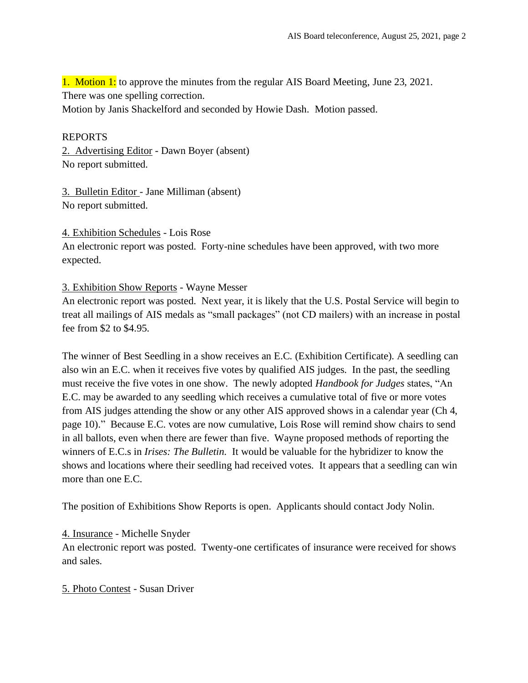1. Motion 1: to approve the minutes from the regular AIS Board Meeting, June 23, 2021. There was one spelling correction.

Motion by Janis Shackelford and seconded by Howie Dash. Motion passed.

#### REPORTS

2. Advertising Editor - Dawn Boyer (absent) No report submitted.

3. Bulletin Editor - Jane Milliman (absent) No report submitted.

4. Exhibition Schedules - Lois Rose

An electronic report was posted. Forty-nine schedules have been approved, with two more expected.

#### 3. Exhibition Show Reports - Wayne Messer

An electronic report was posted. Next year, it is likely that the U.S. Postal Service will begin to treat all mailings of AIS medals as "small packages" (not CD mailers) with an increase in postal fee from \$2 to \$4.95.

The winner of Best Seedling in a show receives an E.C. (Exhibition Certificate). A seedling can also win an E.C. when it receives five votes by qualified AIS judges. In the past, the seedling must receive the five votes in one show. The newly adopted *Handbook for Judges* states, "An E.C. may be awarded to any seedling which receives a cumulative total of five or more votes from AIS judges attending the show or any other AIS approved shows in a calendar year (Ch 4, page 10)." Because E.C. votes are now cumulative, Lois Rose will remind show chairs to send in all ballots, even when there are fewer than five. Wayne proposed methods of reporting the winners of E.C.s in *Irises: The Bulletin.* It would be valuable for the hybridizer to know the shows and locations where their seedling had received votes. It appears that a seedling can win more than one E.C.

The position of Exhibitions Show Reports is open. Applicants should contact Jody Nolin.

4. Insurance - Michelle Snyder

An electronic report was posted. Twenty-one certificates of insurance were received for shows and sales.

# 5. Photo Contest - Susan Driver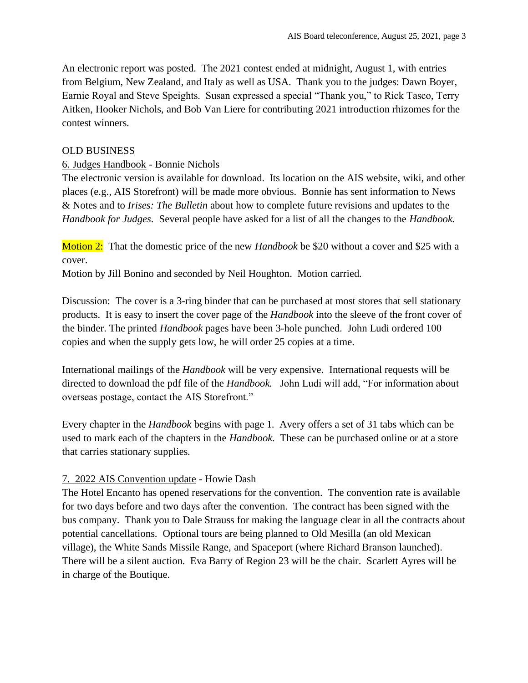An electronic report was posted. The 2021 contest ended at midnight, August 1, with entries from Belgium, New Zealand, and Italy as well as USA. Thank you to the judges: Dawn Boyer, Earnie Royal and Steve Speights. Susan expressed a special "Thank you," to Rick Tasco, Terry Aitken, Hooker Nichols, and Bob Van Liere for contributing 2021 introduction rhizomes for the contest winners.

#### OLD BUSINESS

#### 6. Judges Handbook - Bonnie Nichols

The electronic version is available for download. Its location on the AIS website, wiki, and other places (e.g., AIS Storefront) will be made more obvious. Bonnie has sent information to News & Notes and to *Irises: The Bulletin* about how to complete future revisions and updates to the *Handbook for Judges*. Several people have asked for a list of all the changes to the *Handbook.* 

Motion 2: That the domestic price of the new *Handbook* be \$20 without a cover and \$25 with a cover.

Motion by Jill Bonino and seconded by Neil Houghton. Motion carried.

Discussion: The cover is a 3-ring binder that can be purchased at most stores that sell stationary products. It is easy to insert the cover page of the *Handbook* into the sleeve of the front cover of the binder. The printed *Handbook* pages have been 3-hole punched. John Ludi ordered 100 copies and when the supply gets low, he will order 25 copies at a time.

International mailings of the *Handbook* will be very expensive. International requests will be directed to download the pdf file of the *Handbook.* John Ludi will add, "For information about overseas postage, contact the AIS Storefront."

Every chapter in the *Handbook* begins with page 1. Avery offers a set of 31 tabs which can be used to mark each of the chapters in the *Handbook*. These can be purchased online or at a store that carries stationary supplies.

# 7. 2022 AIS Convention update - Howie Dash

The Hotel Encanto has opened reservations for the convention. The convention rate is available for two days before and two days after the convention. The contract has been signed with the bus company. Thank you to Dale Strauss for making the language clear in all the contracts about potential cancellations. Optional tours are being planned to Old Mesilla (an old Mexican village), the White Sands Missile Range, and Spaceport (where Richard Branson launched). There will be a silent auction. Eva Barry of Region 23 will be the chair. Scarlett Ayres will be in charge of the Boutique.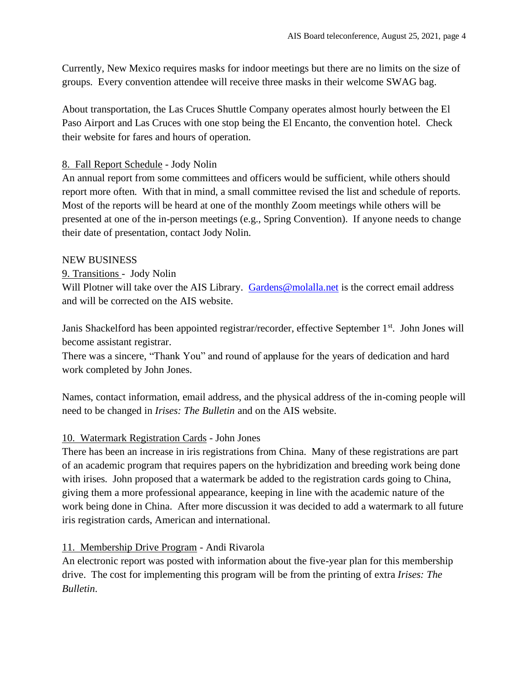Currently, New Mexico requires masks for indoor meetings but there are no limits on the size of groups. Every convention attendee will receive three masks in their welcome SWAG bag.

About transportation, the Las Cruces Shuttle Company operates almost hourly between the El Paso Airport and Las Cruces with one stop being the El Encanto, the convention hotel. Check their website for fares and hours of operation.

# 8. Fall Report Schedule - Jody Nolin

An annual report from some committees and officers would be sufficient, while others should report more often. With that in mind, a small committee revised the list and schedule of reports. Most of the reports will be heard at one of the monthly Zoom meetings while others will be presented at one of the in-person meetings (e.g., Spring Convention). If anyone needs to change their date of presentation, contact Jody Nolin.

#### NEW BUSINESS

# 9. Transitions - Jody Nolin

Will Plotner will take over the AIS Library. [Gardens@molalla.net](mailto:Gardens@molalla.net) is the correct email address and will be corrected on the AIS website.

Janis Shackelford has been appointed registrar/recorder, effective September 1<sup>st</sup>. John Jones will become assistant registrar.

There was a sincere, "Thank You" and round of applause for the years of dedication and hard work completed by John Jones.

Names, contact information, email address, and the physical address of the in-coming people will need to be changed in *Irises: The Bulletin* and on the AIS website.

# 10. Watermark Registration Cards - John Jones

There has been an increase in iris registrations from China. Many of these registrations are part of an academic program that requires papers on the hybridization and breeding work being done with irises. John proposed that a watermark be added to the registration cards going to China, giving them a more professional appearance, keeping in line with the academic nature of the work being done in China. After more discussion it was decided to add a watermark to all future iris registration cards, American and international.

# 11. Membership Drive Program - Andi Rivarola

An electronic report was posted with information about the five-year plan for this membership drive. The cost for implementing this program will be from the printing of extra *Irises: The Bulletin*.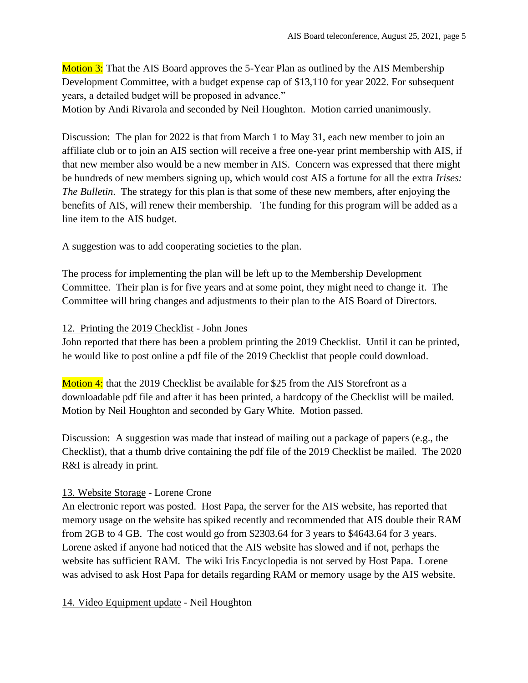**Motion 3:** That the AIS Board approves the 5-Year Plan as outlined by the AIS Membership Development Committee, with a budget expense cap of \$13,110 for year 2022. For subsequent years, a detailed budget will be proposed in advance."

Motion by Andi Rivarola and seconded by Neil Houghton. Motion carried unanimously.

Discussion: The plan for 2022 is that from March 1 to May 31, each new member to join an affiliate club or to join an AIS section will receive a free one-year print membership with AIS, if that new member also would be a new member in AIS. Concern was expressed that there might be hundreds of new members signing up, which would cost AIS a fortune for all the extra *Irises: The Bulletin*. The strategy for this plan is that some of these new members, after enjoying the benefits of AIS, will renew their membership. The funding for this program will be added as a line item to the AIS budget.

A suggestion was to add cooperating societies to the plan.

The process for implementing the plan will be left up to the Membership Development Committee. Their plan is for five years and at some point, they might need to change it. The Committee will bring changes and adjustments to their plan to the AIS Board of Directors.

#### 12. Printing the 2019 Checklist - John Jones

John reported that there has been a problem printing the 2019 Checklist. Until it can be printed, he would like to post online a pdf file of the 2019 Checklist that people could download.

Motion 4: that the 2019 Checklist be available for \$25 from the AIS Storefront as a downloadable pdf file and after it has been printed, a hardcopy of the Checklist will be mailed. Motion by Neil Houghton and seconded by Gary White. Motion passed.

Discussion: A suggestion was made that instead of mailing out a package of papers (e.g., the Checklist), that a thumb drive containing the pdf file of the 2019 Checklist be mailed. The 2020 R&I is already in print.

# 13. Website Storage - Lorene Crone

An electronic report was posted. Host Papa, the server for the AIS website, has reported that memory usage on the website has spiked recently and recommended that AIS double their RAM from 2GB to 4 GB. The cost would go from \$2303.64 for 3 years to \$4643.64 for 3 years. Lorene asked if anyone had noticed that the AIS website has slowed and if not, perhaps the website has sufficient RAM. The wiki Iris Encyclopedia is not served by Host Papa. Lorene was advised to ask Host Papa for details regarding RAM or memory usage by the AIS website.

#### 14. Video Equipment update - Neil Houghton